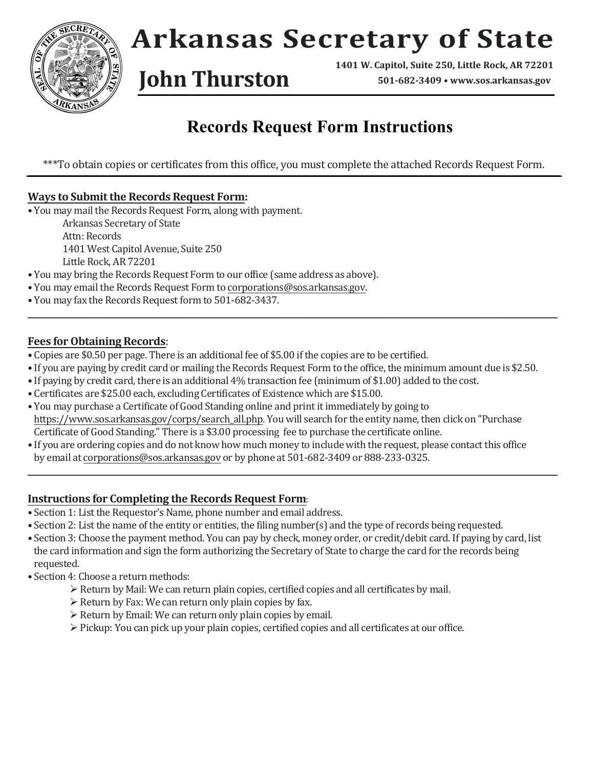

## **Arkansas Secretary of State**

**1401 W. Capitol, Suite 250, Little Rock, AR 72201 John Thurston 501-682-3409 • [www.sos.arkansas.gov](http://www.sos.arkansas.gov)**

### **Records Request Form Instructions**

\*\*\*To obtain copies or certificates from this office, you must complete the attached Records Request Form.

### **Ways to Submit the Records Request Form:**

• You may mail the Records Request Form, along with payment.

Arkansas Secretary of State Attn: Records 1401 West Capitol Avenue, Suite 250 Little Rock, AR 72201

- You may bring the Records Request Form to our office (same address as above).
- You may email the Records Request Form to [corporations@sos.arkansas.gov.](mailto:corporations@sos.arkansas.gov)
- You may fax the Records Request form to 501-682-3437.

#### **Fees for Obtaining Records**:

- Copies are \$0.50 per page. There is an additional fee of \$5.00 if the copies are to be certified.
- If you are paying by credit card or mailing the Records Request Form to the office, the minimum amount due is \$2.50.

**\_\_\_\_\_\_\_\_\_\_\_\_\_\_\_\_\_\_\_\_\_\_\_\_\_\_\_\_\_\_\_\_\_\_\_\_\_\_\_\_\_\_\_\_\_\_\_\_\_\_\_\_\_\_\_\_\_\_\_\_\_\_\_\_\_\_\_\_\_\_\_\_\_\_\_\_\_\_\_\_\_\_\_\_\_\_\_\_\_\_\_\_\_\_\_\_\_\_\_\_\_\_\_\_\_\_\_\_\_\_\_\_\_\_\_\_\_\_\_\_\_\_\_\_\_\_\_\_\_\_**

- If paying by credit card, there is an additional 4% transaction fee (minimum of \$1.00) added to the cost.
- Certificates are \$25.00 each, excluding Certificates of Existence which are \$15.00.
- You may purchase a Certificate of Good Standing online and print it immediately by going to [https://www.sos.arkansas.gov/corps/search\\_all.php. Yo](https://www.sos.arkansas.gov/corps/search_all.php)u will search for the entity name, then click on "Purchase Certificate of Good Standing." There is a \$3.00 processing fee to purchase the certificate online.
- If you are ordering copies and do not know how much money to include with the request, please contact this office by email at [corporations@sos.arkansas.gov](mailto:corporations@sos.arkansas.gov) or by phone at 501-682-3409 or 888-233-0325.

**\_\_\_\_\_\_\_\_\_\_\_\_\_\_\_\_\_\_\_\_\_\_\_\_\_\_\_\_\_\_\_\_\_\_\_\_\_\_\_\_\_\_\_\_\_\_\_\_\_\_\_\_\_\_\_\_\_\_\_\_\_\_\_\_\_\_\_\_\_\_\_\_\_\_\_\_\_\_\_\_\_\_\_\_\_\_\_\_\_\_\_\_\_\_\_\_\_\_\_\_\_\_\_\_\_\_\_\_\_\_\_\_\_\_\_\_\_\_\_\_\_\_\_\_\_\_\_\_\_\_**

#### **Instructions for Completing the Records Request Form**:

- Section 1: List the Requestor's Name, phone number and email address.
- Section 2: List the name of the entity or entities, the filing number(s) and the type of records being requested.
- Section 3: Choose the payment method. You can pay by check, money order, or credit/debit card. If paying by card, list the card information and sign the form authorizing the Secretary of State to charge the card for the records being requested.
- Section 4: Choose a return methods:
	- $\triangleright$  Return by Mail: We can return plain copies, certified copies and all certificates by mail.
	- $\triangleright$  Return by Fax: We can return only plain copies by fax.
	- $\triangleright$  Return by Email: We can return only plain copies by email.
	- $\triangleright$  Pickup: You can pick up your plain copies, certified copies and all certificates at our office.